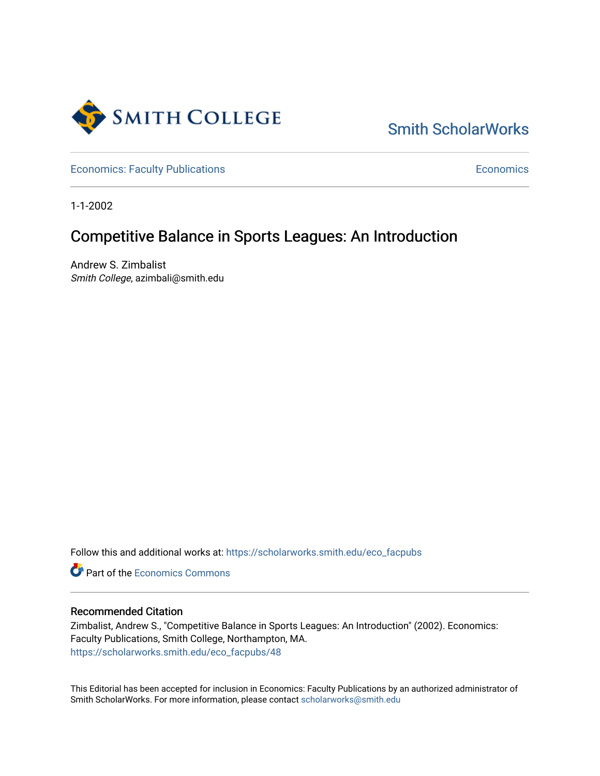

[Smith ScholarWorks](https://scholarworks.smith.edu/) 

[Economics: Faculty Publications](https://scholarworks.smith.edu/eco_facpubs) **Economics** [Economics](https://scholarworks.smith.edu/eco) **Economics** 

1-1-2002

## Competitive Balance in Sports Leagues: An Introduction

Andrew S. Zimbalist Smith College, azimbali@smith.edu

Follow this and additional works at: [https://scholarworks.smith.edu/eco\\_facpubs](https://scholarworks.smith.edu/eco_facpubs?utm_source=scholarworks.smith.edu%2Feco_facpubs%2F48&utm_medium=PDF&utm_campaign=PDFCoverPages) 

**C** Part of the [Economics Commons](http://network.bepress.com/hgg/discipline/340?utm_source=scholarworks.smith.edu%2Feco_facpubs%2F48&utm_medium=PDF&utm_campaign=PDFCoverPages)

### Recommended Citation

Zimbalist, Andrew S., "Competitive Balance in Sports Leagues: An Introduction" (2002). Economics: Faculty Publications, Smith College, Northampton, MA. [https://scholarworks.smith.edu/eco\\_facpubs/48](https://scholarworks.smith.edu/eco_facpubs/48?utm_source=scholarworks.smith.edu%2Feco_facpubs%2F48&utm_medium=PDF&utm_campaign=PDFCoverPages)

This Editorial has been accepted for inclusion in Economics: Faculty Publications by an authorized administrator of Smith ScholarWorks. For more information, please contact [scholarworks@smith.edu](mailto:scholarworks@smith.edu)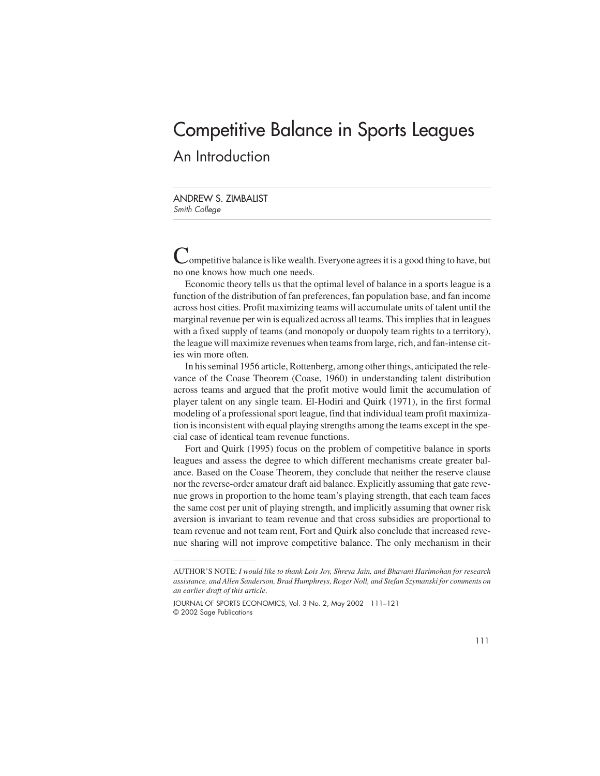# Competitive Balance in Sports Leagues An Introduction

ANDREW S. ZIMBALIST Smith College

 $\sim$  ompetitive balance is like wealth. Everyone agrees it is a good thing to have, but no one knows how much one needs.

Economic theory tells us that the optimal level of balance in a sports league is a function of the distribution of fan preferences, fan population base, and fan income across host cities. Profit maximizing teams will accumulate units of talent until the marginal revenue per win is equalized across all teams. This implies that in leagues with a fixed supply of teams (and monopoly or duopoly team rights to a territory), the league will maximize revenues when teams from large, rich, and fan-intense cities win more often.

In his seminal 1956 article, Rottenberg, among other things, anticipated the relevance of the Coase Theorem (Coase, 1960) in understanding talent distribution across teams and argued that the profit motive would limit the accumulation of player talent on any single team. El-Hodiri and Quirk (1971), in the first formal modeling of a professional sport league, find that individual team profit maximization is inconsistent with equal playing strengths among the teams except in the special case of identical team revenue functions.

Fort and Quirk (1995) focus on the problem of competitive balance in sports leagues and assess the degree to which different mechanisms create greater balance. Based on the Coase Theorem, they conclude that neither the reserve clause nor the reverse-order amateur draft aid balance. Explicitly assuming that gate revenue grows in proportion to the home team's playing strength, that each team faces the same cost per unit of playing strength, and implicitly assuming that owner risk aversion is invariant to team revenue and that cross subsidies are proportional to team revenue and not team rent, Fort and Quirk also conclude that increased revenue sharing will not improve competitive balance. The only mechanism in their

AUTHOR'S NOTE: *I would like to thank Lois Joy, Shreya Jain, and Bhavani Harimohan for research assistance, and Allen Sanderson, Brad Humphreys, Roger Noll, and Stefan Szymanski for comments on an earlier draft of this article*.

JOURNAL OF SPORTS ECONOMICS, Vol. 3 No. 2, May 2002 111–121 © 2002 Sage Publications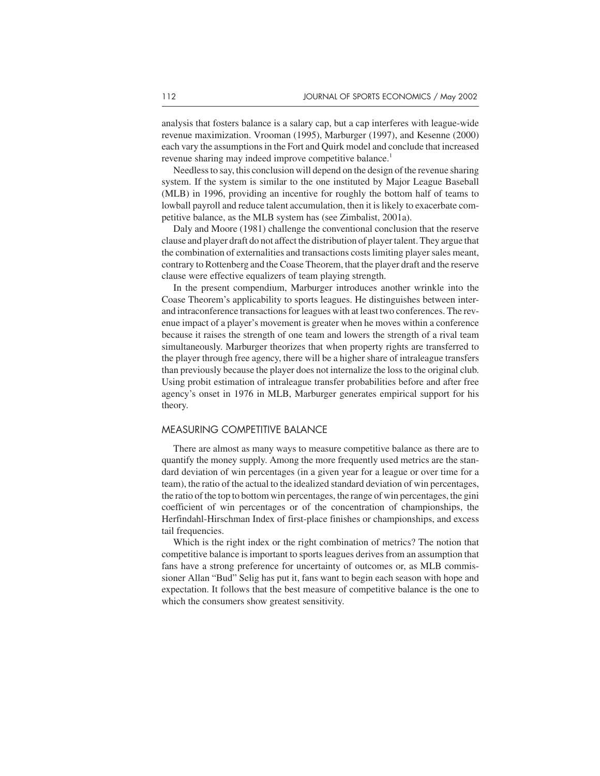analysis that fosters balance is a salary cap, but a cap interferes with league-wide revenue maximization. Vrooman (1995), Marburger (1997), and Kesenne (2000) each vary the assumptions in the Fort and Quirk model and conclude that increased revenue sharing may indeed improve competitive balance.<sup>1</sup>

Needless to say, this conclusion will depend on the design of the revenue sharing system. If the system is similar to the one instituted by Major League Baseball (MLB) in 1996, providing an incentive for roughly the bottom half of teams to lowball payroll and reduce talent accumulation, then it is likely to exacerbate competitive balance, as the MLB system has (see Zimbalist, 2001a).

Daly and Moore (1981) challenge the conventional conclusion that the reserve clause and player draft do not affect the distribution of player talent. They argue that the combination of externalities and transactions costs limiting player sales meant, contrary to Rottenberg and the Coase Theorem, that the player draft and the reserve clause were effective equalizers of team playing strength.

In the present compendium, Marburger introduces another wrinkle into the Coase Theorem's applicability to sports leagues. He distinguishes between interand intraconference transactions for leagues with at least two conferences. The revenue impact of a player's movement is greater when he moves within a conference because it raises the strength of one team and lowers the strength of a rival team simultaneously. Marburger theorizes that when property rights are transferred to the player through free agency, there will be a higher share of intraleague transfers than previously because the player does not internalize the loss to the original club. Using probit estimation of intraleague transfer probabilities before and after free agency's onset in 1976 in MLB, Marburger generates empirical support for his theory.

#### MEASURING COMPETITIVE BALANCE

There are almost as many ways to measure competitive balance as there are to quantify the money supply. Among the more frequently used metrics are the standard deviation of win percentages (in a given year for a league or over time for a team), the ratio of the actual to the idealized standard deviation of win percentages, the ratio of the top to bottom win percentages, the range of win percentages, the gini coefficient of win percentages or of the concentration of championships, the Herfindahl-Hirschman Index of first-place finishes or championships, and excess tail frequencies.

Which is the right index or the right combination of metrics? The notion that competitive balance is important to sports leagues derives from an assumption that fans have a strong preference for uncertainty of outcomes or, as MLB commissioner Allan "Bud" Selig has put it, fans want to begin each season with hope and expectation. It follows that the best measure of competitive balance is the one to which the consumers show greatest sensitivity.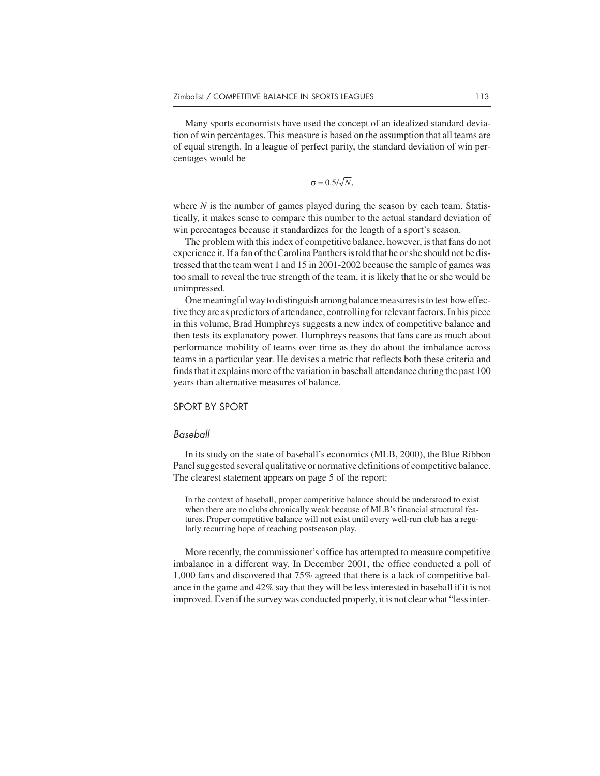Many sports economists have used the concept of an idealized standard deviation of win percentages. This measure is based on the assumption that all teams are of equal strength. In a league of perfect parity, the standard deviation of win percentages would be

$$
\sigma = 0.5/\sqrt{N},
$$

where *N* is the number of games played during the season by each team. Statistically, it makes sense to compare this number to the actual standard deviation of win percentages because it standardizes for the length of a sport's season.

The problem with this index of competitive balance, however, is that fans do not experience it. If a fan of the Carolina Panthers is told that he or she should not be distressed that the team went 1 and 15 in 2001-2002 because the sample of games was too small to reveal the true strength of the team, it is likely that he or she would be unimpressed.

One meaningful way to distinguish among balance measures is to test how effective they are as predictors of attendance, controlling for relevant factors. In his piece in this volume, Brad Humphreys suggests a new index of competitive balance and then tests its explanatory power. Humphreys reasons that fans care as much about performance mobility of teams over time as they do about the imbalance across teams in a particular year. He devises a metric that reflects both these criteria and finds that it explains more of the variation in baseball attendance during the past 100 years than alternative measures of balance.

#### SPORT BY SPORT

#### Baseball

In its study on the state of baseball's economics (MLB, 2000), the Blue Ribbon Panel suggested several qualitative or normative definitions of competitive balance. The clearest statement appears on page 5 of the report:

In the context of baseball, proper competitive balance should be understood to exist when there are no clubs chronically weak because of MLB's financial structural features. Proper competitive balance will not exist until every well-run club has a regularly recurring hope of reaching postseason play.

More recently, the commissioner's office has attempted to measure competitive imbalance in a different way. In December 2001, the office conducted a poll of 1,000 fans and discovered that 75% agreed that there is a lack of competitive balance in the game and 42% say that they will be less interested in baseball if it is not improved. Even if the survey was conducted properly, it is not clear what "less inter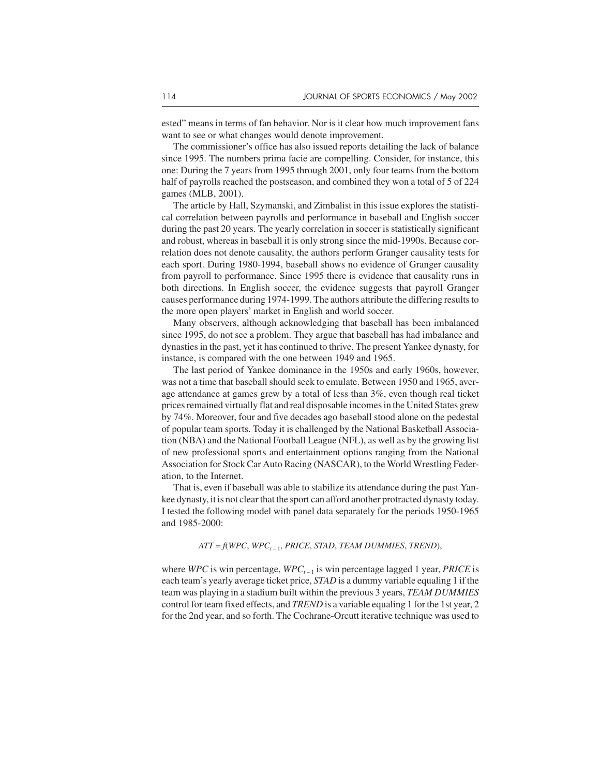ested" means in terms of fan behavior. Nor is it clear how much improvement fans want to see or what changes would denote improvement.

The commissioner's office has also issued reports detailing the lack of balance since 1995. The numbers prima facie are compelling. Consider, for instance, this one: During the 7 years from 1995 through 2001, only four teams from the bottom half of payrolls reached the postseason, and combined they won a total of 5 of 224 games (MLB, 2001).

The article by Hall, Szymanski, and Zimbalist in this issue explores the statistical correlation between payrolls and performance in baseball and English soccer during the past 20 years. The yearly correlation in soccer is statistically significant and robust, whereas in baseball it is only strong since the mid-1990s. Because correlation does not denote causality, the authors perform Granger causality tests for each sport. During 1980-1994, baseball shows no evidence of Granger causality from payroll to performance. Since 1995 there is evidence that causality runs in both directions. In English soccer, the evidence suggests that payroll Granger causes performance during 1974-1999. The authors attribute the differing results to the more open players' market in English and world soccer.

Many observers, although acknowledging that baseball has been imbalanced since 1995, do not see a problem. They argue that baseball has had imbalance and dynasties in the past, yet it has continued to thrive. The present Yankee dynasty, for instance, is compared with the one between 1949 and 1965.

The last period of Yankee dominance in the 1950s and early 1960s, however, was not a time that baseball should seek to emulate. Between 1950 and 1965, average attendance at games grew by a total of less than 3%, even though real ticket prices remained virtually flat and real disposable incomes in the United States grew by 74%. Moreover, four and five decades ago baseball stood alone on the pedestal of popular team sports. Today it is challenged by the National Basketball Association (NBA) and the National Football League (NFL), as well as by the growing list of new professional sports and entertainment options ranging from the National Association for Stock Car Auto Racing (NASCAR), to the World Wrestling Federation, to the Internet.

That is, even if baseball was able to stabilize its attendance during the past Yankee dynasty, it is not clear that the sport can afford another protracted dynasty today. I tested the following model with panel data separately for the periods 1950-1965 and 1985-2000:

#### $ATT = f(WPC, WPC_{t-1}, PRICE, STAD, TEAM DUMMIES, TREND),$

where *WPC* is win percentage, *WPC*<sub> $t-1$ </sub> is win percentage lagged 1 year, *PRICE* is each team's yearly average ticket price, *STAD* is a dummy variable equaling 1 if the team was playing in a stadium built within the previous 3 years, *TEAM DUMMIES* control for team fixed effects, and *TREND* is a variable equaling 1 for the 1st year, 2 for the 2nd year, and so forth. The Cochrane-Orcutt iterative technique was used to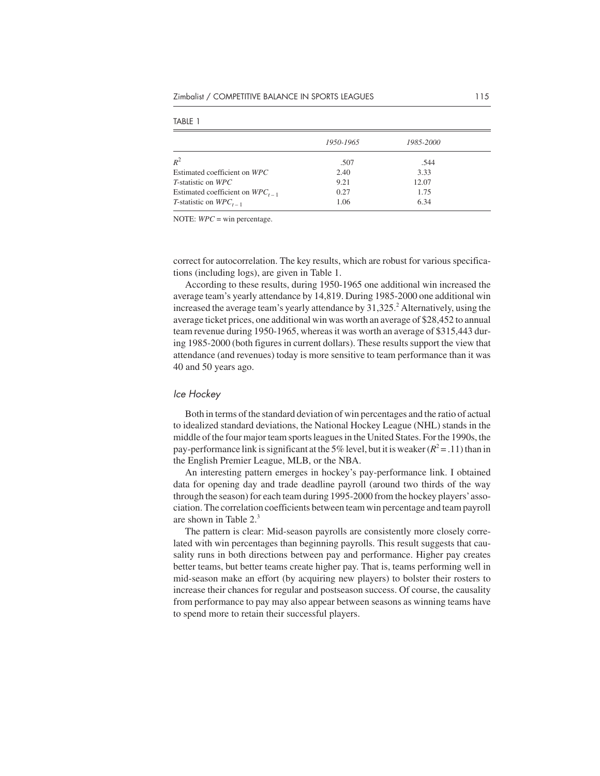|                                      | 1950-1965 | 1985-2000 |  |
|--------------------------------------|-----------|-----------|--|
| $R^2$                                | .507      | .544      |  |
| Estimated coefficient on WPC         | 2.40      | 3.33      |  |
| <i>T</i> -statistic on WPC           | 9.21      | 12.07     |  |
| Estimated coefficient on $WPC_{t-1}$ | 0.27      | 1.75      |  |
| T-statistic on $WPC_{t-1}$           | 1.06      | 6.34      |  |

TABLE 1

NOTE: *WPC* = win percentage.

correct for autocorrelation. The key results, which are robust for various specifications (including logs), are given in Table 1.

According to these results, during 1950-1965 one additional win increased the average team's yearly attendance by 14,819. During 1985-2000 one additional win increased the average team's yearly attendance by  $31,325$ <sup>2</sup> Alternatively, using the average ticket prices, one additional win was worth an average of \$28,452 to annual team revenue during 1950-1965, whereas it was worth an average of \$315,443 during 1985-2000 (both figures in current dollars). These results support the view that attendance (and revenues) today is more sensitive to team performance than it was 40 and 50 years ago.

#### Ice Hockey

Both in terms of the standard deviation of win percentages and the ratio of actual to idealized standard deviations, the National Hockey League (NHL) stands in the middle of the four major team sports leagues in the United States. For the 1990s, the pay-performance link is significant at the 5% level, but it is weaker  $(R^2 = .11)$  than in the English Premier League, MLB, or the NBA.

An interesting pattern emerges in hockey's pay-performance link. I obtained data for opening day and trade deadline payroll (around two thirds of the way through the season) for each team during 1995-2000 from the hockey players'association. The correlation coefficients between team win percentage and team payroll are shown in Table  $2<sup>3</sup>$ 

The pattern is clear: Mid-season payrolls are consistently more closely correlated with win percentages than beginning payrolls. This result suggests that causality runs in both directions between pay and performance. Higher pay creates better teams, but better teams create higher pay. That is, teams performing well in mid-season make an effort (by acquiring new players) to bolster their rosters to increase their chances for regular and postseason success. Of course, the causality from performance to pay may also appear between seasons as winning teams have to spend more to retain their successful players.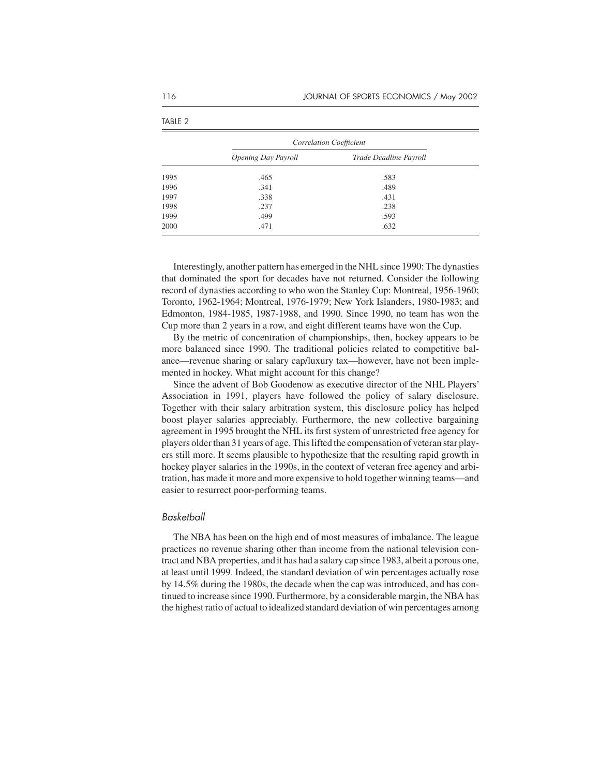|      | Correlation Coefficient |                        |  |
|------|-------------------------|------------------------|--|
|      | Opening Day Payroll     | Trade Deadline Payroll |  |
| 1995 | .465                    | .583                   |  |
| 1996 | .341                    | .489                   |  |
| 1997 | .338                    | .431                   |  |
| 1998 | .237                    | .238                   |  |
| 1999 | .499                    | .593                   |  |
| 2000 | .471                    | .632                   |  |

Interestingly, another pattern has emerged in the NHL since 1990: The dynasties that dominated the sport for decades have not returned. Consider the following record of dynasties according to who won the Stanley Cup: Montreal, 1956-1960; Toronto, 1962-1964; Montreal, 1976-1979; New York Islanders, 1980-1983; and Edmonton, 1984-1985, 1987-1988, and 1990. Since 1990, no team has won the Cup more than 2 years in a row, and eight different teams have won the Cup.

By the metric of concentration of championships, then, hockey appears to be more balanced since 1990. The traditional policies related to competitive balance—revenue sharing or salary cap/luxury tax—however, have not been implemented in hockey. What might account for this change?

Since the advent of Bob Goodenow as executive director of the NHL Players' Association in 1991, players have followed the policy of salary disclosure. Together with their salary arbitration system, this disclosure policy has helped boost player salaries appreciably. Furthermore, the new collective bargaining agreement in 1995 brought the NHL its first system of unrestricted free agency for players older than 31 years of age. This lifted the compensation of veteran star players still more. It seems plausible to hypothesize that the resulting rapid growth in hockey player salaries in the 1990s, in the context of veteran free agency and arbitration, has made it more and more expensive to hold together winning teams—and easier to resurrect poor-performing teams.

#### Basketball

The NBA has been on the high end of most measures of imbalance. The league practices no revenue sharing other than income from the national television contract and NBA properties, and it has had a salary cap since 1983, albeit a porous one, at least until 1999. Indeed, the standard deviation of win percentages actually rose by 14.5% during the 1980s, the decade when the cap was introduced, and has continued to increase since 1990. Furthermore, by a considerable margin, the NBA has the highest ratio of actual to idealized standard deviation of win percentages among

TABLE 2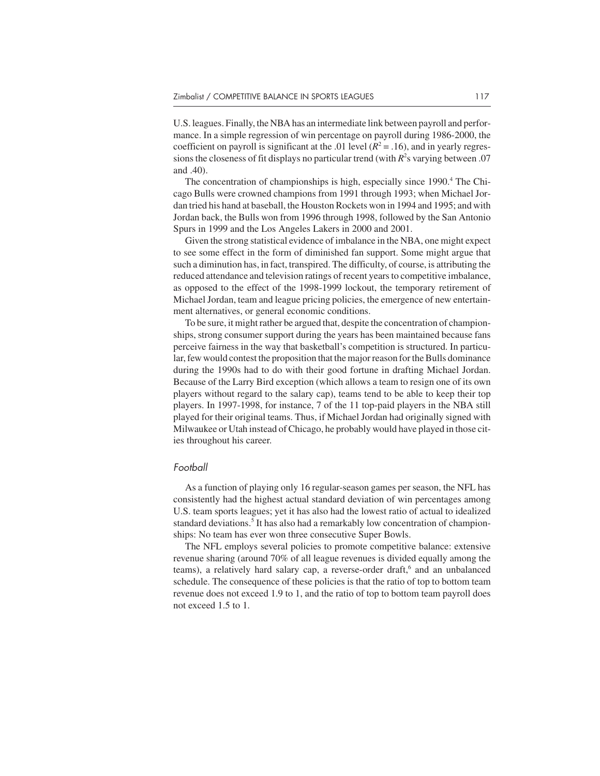U.S. leagues. Finally, the NBA has an intermediate link between payroll and performance. In a simple regression of win percentage on payroll during 1986-2000, the coefficient on payroll is significant at the .01 level  $(R^2 = .16)$ , and in yearly regressions the closeness of fit displays no particular trend (with  $R^2$ s varying between .07 and .40).

The concentration of championships is high, especially since 1990.<sup>4</sup> The Chicago Bulls were crowned champions from 1991 through 1993; when Michael Jordan tried his hand at baseball, the Houston Rockets won in 1994 and 1995; and with Jordan back, the Bulls won from 1996 through 1998, followed by the San Antonio Spurs in 1999 and the Los Angeles Lakers in 2000 and 2001.

Given the strong statistical evidence of imbalance in the NBA, one might expect to see some effect in the form of diminished fan support. Some might argue that such a diminution has, in fact, transpired. The difficulty, of course, is attributing the reduced attendance and television ratings of recent years to competitive imbalance, as opposed to the effect of the 1998-1999 lockout, the temporary retirement of Michael Jordan, team and league pricing policies, the emergence of new entertainment alternatives, or general economic conditions.

To be sure, it might rather be argued that, despite the concentration of championships, strong consumer support during the years has been maintained because fans perceive fairness in the way that basketball's competition is structured. In particular, few would contest the proposition that the major reason for the Bulls dominance during the 1990s had to do with their good fortune in drafting Michael Jordan. Because of the Larry Bird exception (which allows a team to resign one of its own players without regard to the salary cap), teams tend to be able to keep their top players. In 1997-1998, for instance, 7 of the 11 top-paid players in the NBA still played for their original teams. Thus, if Michael Jordan had originally signed with Milwaukee or Utah instead of Chicago, he probably would have played in those cities throughout his career.

#### Football

As a function of playing only 16 regular-season games per season, the NFL has consistently had the highest actual standard deviation of win percentages among U.S. team sports leagues; yet it has also had the lowest ratio of actual to idealized standard deviations.<sup>5</sup> It has also had a remarkably low concentration of championships: No team has ever won three consecutive Super Bowls.

The NFL employs several policies to promote competitive balance: extensive revenue sharing (around 70% of all league revenues is divided equally among the teams), a relatively hard salary cap, a reverse-order draft, $6$  and an unbalanced schedule. The consequence of these policies is that the ratio of top to bottom team revenue does not exceed 1.9 to 1, and the ratio of top to bottom team payroll does not exceed 1.5 to 1.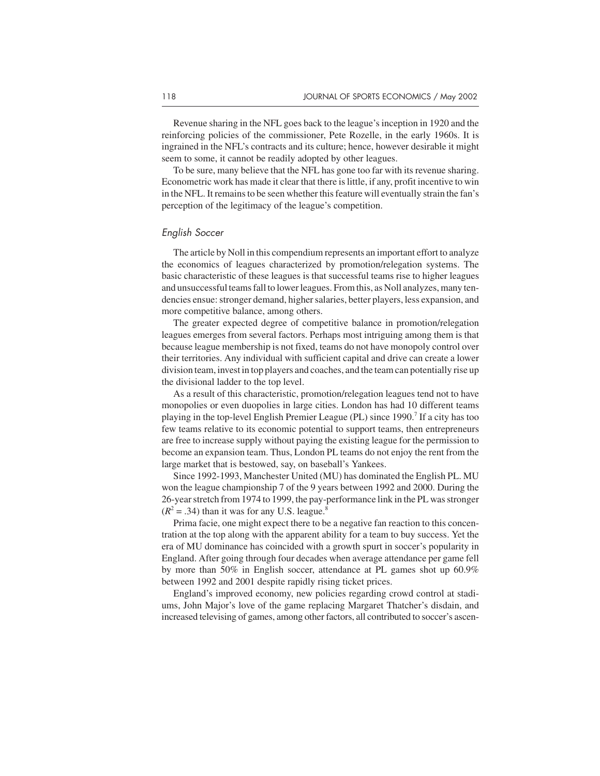Revenue sharing in the NFL goes back to the league's inception in 1920 and the reinforcing policies of the commissioner, Pete Rozelle, in the early 1960s. It is ingrained in the NFL's contracts and its culture; hence, however desirable it might seem to some, it cannot be readily adopted by other leagues.

To be sure, many believe that the NFL has gone too far with its revenue sharing. Econometric work has made it clear that there is little, if any, profit incentive to win in the NFL. It remains to be seen whether this feature will eventually strain the fan's perception of the legitimacy of the league's competition.

#### English Soccer

The article by Noll in this compendium represents an important effort to analyze the economics of leagues characterized by promotion/relegation systems. The basic characteristic of these leagues is that successful teams rise to higher leagues and unsuccessful teams fall to lower leagues. From this, as Noll analyzes, many tendencies ensue: stronger demand, higher salaries, better players, less expansion, and more competitive balance, among others.

The greater expected degree of competitive balance in promotion/relegation leagues emerges from several factors. Perhaps most intriguing among them is that because league membership is not fixed, teams do not have monopoly control over their territories. Any individual with sufficient capital and drive can create a lower division team, invest in top players and coaches, and the team can potentially rise up the divisional ladder to the top level.

As a result of this characteristic, promotion/relegation leagues tend not to have monopolies or even duopolies in large cities. London has had 10 different teams playing in the top-level English Premier League (PL) since 1990.7 If a city has too few teams relative to its economic potential to support teams, then entrepreneurs are free to increase supply without paying the existing league for the permission to become an expansion team. Thus, London PL teams do not enjoy the rent from the large market that is bestowed, say, on baseball's Yankees.

Since 1992-1993, Manchester United (MU) has dominated the English PL. MU won the league championship 7 of the 9 years between 1992 and 2000. During the 26-year stretch from 1974 to 1999, the pay-performance link in the PL was stronger  $(R<sup>2</sup> = .34)$  than it was for any U.S. league.<sup>8</sup>

Prima facie, one might expect there to be a negative fan reaction to this concentration at the top along with the apparent ability for a team to buy success. Yet the era of MU dominance has coincided with a growth spurt in soccer's popularity in England. After going through four decades when average attendance per game fell by more than 50% in English soccer, attendance at PL games shot up 60.9% between 1992 and 2001 despite rapidly rising ticket prices.

England's improved economy, new policies regarding crowd control at stadiums, John Major's love of the game replacing Margaret Thatcher's disdain, and increased televising of games, among other factors, all contributed to soccer's ascen-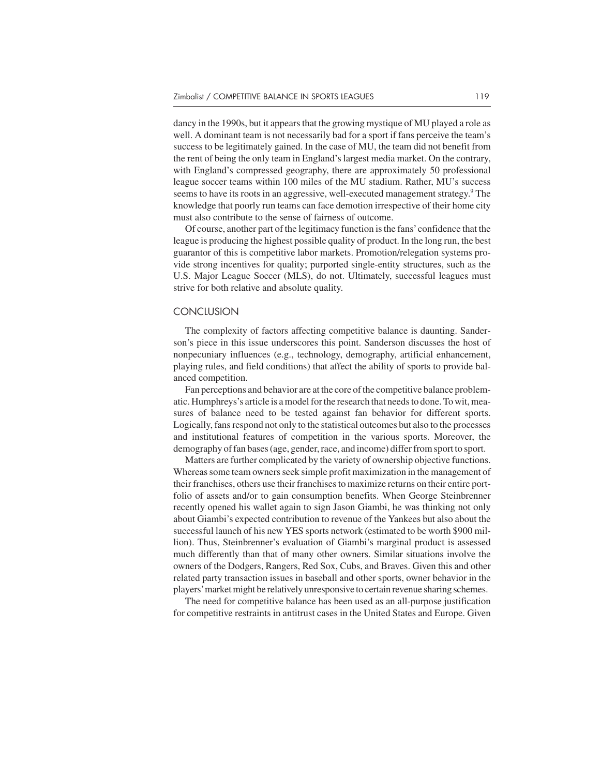dancy in the 1990s, but it appears that the growing mystique of MU played a role as well. A dominant team is not necessarily bad for a sport if fans perceive the team's success to be legitimately gained. In the case of MU, the team did not benefit from the rent of being the only team in England's largest media market. On the contrary, with England's compressed geography, there are approximately 50 professional league soccer teams within 100 miles of the MU stadium. Rather, MU's success seems to have its roots in an aggressive, well-executed management strategy.<sup>9</sup> The knowledge that poorly run teams can face demotion irrespective of their home city must also contribute to the sense of fairness of outcome.

Of course, another part of the legitimacy function is the fans'confidence that the league is producing the highest possible quality of product. In the long run, the best guarantor of this is competitive labor markets. Promotion/relegation systems provide strong incentives for quality; purported single-entity structures, such as the U.S. Major League Soccer (MLS), do not. Ultimately, successful leagues must strive for both relative and absolute quality.

#### **CONCLUSION**

The complexity of factors affecting competitive balance is daunting. Sanderson's piece in this issue underscores this point. Sanderson discusses the host of nonpecuniary influences (e.g., technology, demography, artificial enhancement, playing rules, and field conditions) that affect the ability of sports to provide balanced competition.

Fan perceptions and behavior are at the core of the competitive balance problematic. Humphreys's article is a model for the research that needs to done. To wit, measures of balance need to be tested against fan behavior for different sports. Logically, fans respond not only to the statistical outcomes but also to the processes and institutional features of competition in the various sports. Moreover, the demography of fan bases (age, gender, race, and income) differ from sport to sport.

Matters are further complicated by the variety of ownership objective functions. Whereas some team owners seek simple profit maximization in the management of their franchises, others use their franchises to maximize returns on their entire portfolio of assets and/or to gain consumption benefits. When George Steinbrenner recently opened his wallet again to sign Jason Giambi, he was thinking not only about Giambi's expected contribution to revenue of the Yankees but also about the successful launch of his new YES sports network (estimated to be worth \$900 million). Thus, Steinbrenner's evaluation of Giambi's marginal product is assessed much differently than that of many other owners. Similar situations involve the owners of the Dodgers, Rangers, Red Sox, Cubs, and Braves. Given this and other related party transaction issues in baseball and other sports, owner behavior in the players'market might be relatively unresponsive to certain revenue sharing schemes.

The need for competitive balance has been used as an all-purpose justification for competitive restraints in antitrust cases in the United States and Europe. Given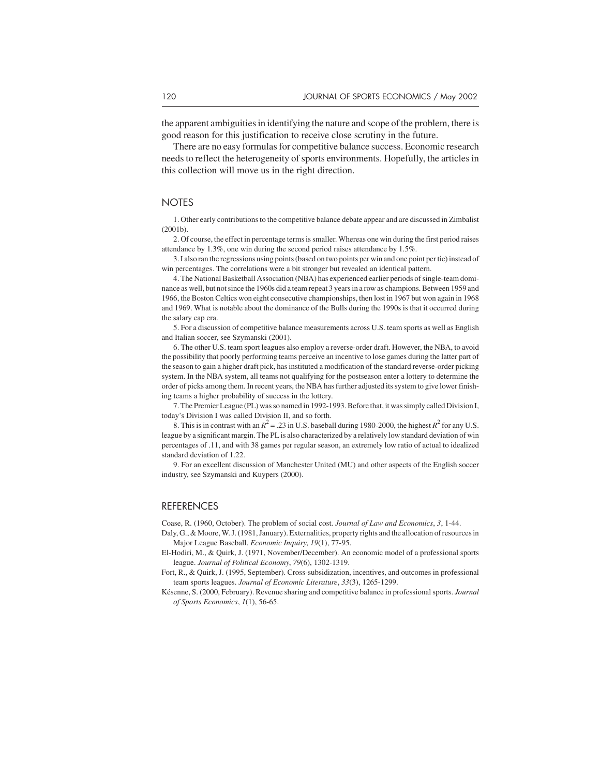the apparent ambiguities in identifying the nature and scope of the problem, there is good reason for this justification to receive close scrutiny in the future.

There are no easy formulas for competitive balance success. Economic research needs to reflect the heterogeneity of sports environments. Hopefully, the articles in this collection will move us in the right direction.

#### **NOTES**

1. Other early contributions to the competitive balance debate appear and are discussed in Zimbalist (2001b).

2. Of course, the effect in percentage terms is smaller. Whereas one win during the first period raises attendance by 1.3%, one win during the second period raises attendance by 1.5%.

3. I also ran the regressions using points (based on two points per win and one point per tie) instead of win percentages. The correlations were a bit stronger but revealed an identical pattern.

4. The National Basketball Association (NBA) has experienced earlier periods of single-team dominance as well, but not since the 1960s did a team repeat 3 years in a row as champions. Between 1959 and 1966, the Boston Celtics won eight consecutive championships, then lost in 1967 but won again in 1968 and 1969. What is notable about the dominance of the Bulls during the 1990s is that it occurred during the salary cap era.

5. For a discussion of competitive balance measurements across U.S. team sports as well as English and Italian soccer, see Szymanski (2001).

6. The other U.S. team sport leagues also employ a reverse-order draft. However, the NBA, to avoid the possibility that poorly performing teams perceive an incentive to lose games during the latter part of the season to gain a higher draft pick, has instituted a modification of the standard reverse-order picking system. In the NBA system, all teams not qualifying for the postseason enter a lottery to determine the order of picks among them. In recent years, the NBA has further adjusted its system to give lower finishing teams a higher probability of success in the lottery.

7. The Premier League (PL) was so named in 1992-1993. Before that, it was simply called Division I, today's Division I was called Division II, and so forth.

8. This is in contrast with an  $R^2$  = .23 in U.S. baseball during 1980-2000, the highest  $R^2$  for any U.S. league by a significant margin. The PL is also characterized by a relatively low standard deviation of win percentages of .11, and with 38 games per regular season, an extremely low ratio of actual to idealized standard deviation of 1.22.

9. For an excellent discussion of Manchester United (MU) and other aspects of the English soccer industry, see Szymanski and Kuypers (2000).

#### REFERENCES

Coase, R. (1960, October). The problem of social cost. *Journal of Law and Economics*, *3*, 1-44.

- Daly, G., & Moore, W. J. (1981, January). Externalities, property rights and the allocation of resources in Major League Baseball. *Economic Inquiry*, *19*(1), 77-95.
- El-Hodiri, M., & Quirk, J. (1971, November/December). An economic model of a professional sports league. *Journal of Political Economy*, *79*(6), 1302-1319.
- Fort, R., & Quirk, J. (1995, September). Cross-subsidization, incentives, and outcomes in professional team sports leagues. *Journal of Economic Literature*, *33*(3), 1265-1299.
- Késenne, S. (2000, February). Revenue sharing and competitive balance in professional sports. *Journal of Sports Economics*, *1*(1), 56-65.